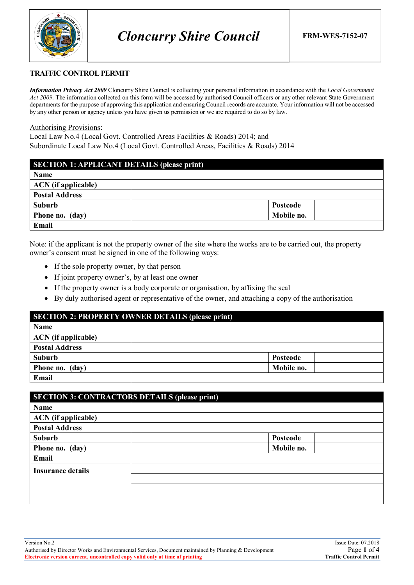

## **TRAFFIC CONTROL PERMIT**

*Information Privacy Act 2009* Cloncurry Shire Council is collecting your personal information in accordance with the *Local Government Act 2009*. The information collected on this form will be accessed by authorised Council officers or any other relevant State Government departments for the purpose of approving this application and ensuring Council records are accurate. Your information will not be accessed by any other person or agency unless you have given us permission or we are required to do so by law.

#### Authorising Provisions:

Local Law No.4 (Local Govt. Controlled Areas Facilities & Roads) 2014; and Subordinate Local Law No.4 (Local Govt. Controlled Areas, Facilities & Roads) 2014

| <b>SECTION 1: APPLICANT DETAILS (please print)</b> |            |
|----------------------------------------------------|------------|
| <b>Name</b>                                        |            |
| <b>ACN</b> (if applicable)                         |            |
| <b>Postal Address</b>                              |            |
| Suburb                                             | Postcode   |
| Phone no. (day)                                    | Mobile no. |
| Email                                              |            |

Note: if the applicant is not the property owner of the site where the works are to be carried out, the property owner's consent must be signed in one of the following ways:

- If the sole property owner, by that person
- If joint property owner's, by at least one owner
- If the property owner is a body corporate or organisation, by affixing the seal
- By duly authorised agent or representative of the owner, and attaching a copy of the authorisation

| <b>SECTION 2: PROPERTY OWNER DETAILS (please print)</b> |                 |  |  |
|---------------------------------------------------------|-----------------|--|--|
| <b>Name</b>                                             |                 |  |  |
| <b>ACN</b> (if applicable)                              |                 |  |  |
| <b>Postal Address</b>                                   |                 |  |  |
| <b>Suburb</b>                                           | <b>Postcode</b> |  |  |
| Phone no. (day)                                         | Mobile no.      |  |  |
| Email                                                   |                 |  |  |

| <b>SECTION 3: CONTRACTORS DETAILS (please print)</b> |            |  |  |
|------------------------------------------------------|------------|--|--|
| Name                                                 |            |  |  |
| <b>ACN</b> (if applicable)                           |            |  |  |
| <b>Postal Address</b>                                |            |  |  |
| Suburb                                               | Postcode   |  |  |
| Phone no. (day)                                      | Mobile no. |  |  |
| Email                                                |            |  |  |
| <b>Insurance details</b>                             |            |  |  |
|                                                      |            |  |  |
|                                                      |            |  |  |
|                                                      |            |  |  |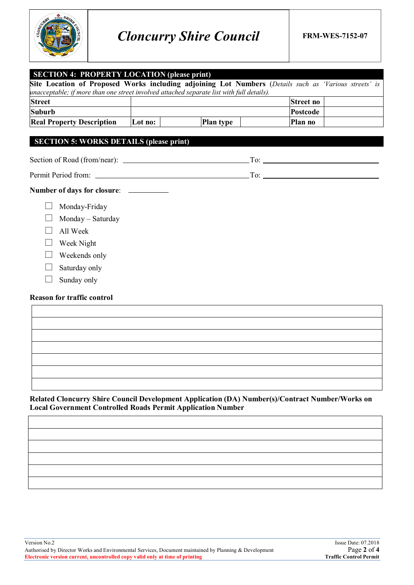

| <b>SECTION 4: PROPERTY LOCATION (please print)</b>                                                                                                                                                 |         |                  |                  |  |
|----------------------------------------------------------------------------------------------------------------------------------------------------------------------------------------------------|---------|------------------|------------------|--|
| Site Location of Proposed Works including adjoining Lot Numbers (Details such as 'Various streets' is<br>unacceptable; if more than one street involved attached separate list with full details). |         |                  |                  |  |
| <b>Street</b>                                                                                                                                                                                      |         |                  | <b>Street no</b> |  |
| <b>Suburb</b>                                                                                                                                                                                      |         |                  | Postcode         |  |
| <b>Real Property Description</b>                                                                                                                                                                   | Lot no: | <b>Plan type</b> | Plan no          |  |
| <b>SECTION 5: WORKS DETAILS (please print)</b>                                                                                                                                                     |         |                  |                  |  |
|                                                                                                                                                                                                    |         |                  |                  |  |
|                                                                                                                                                                                                    |         |                  |                  |  |
| Number of days for closure: __________                                                                                                                                                             |         |                  |                  |  |
| Monday-Friday                                                                                                                                                                                      |         |                  |                  |  |
| Monday - Saturday                                                                                                                                                                                  |         |                  |                  |  |
| All Week                                                                                                                                                                                           |         |                  |                  |  |
| Week Night                                                                                                                                                                                         |         |                  |                  |  |
| Weekends only                                                                                                                                                                                      |         |                  |                  |  |
| Saturday only                                                                                                                                                                                      |         |                  |                  |  |
| Sunday only                                                                                                                                                                                        |         |                  |                  |  |
| <b>Reason for traffic control</b>                                                                                                                                                                  |         |                  |                  |  |
|                                                                                                                                                                                                    |         |                  |                  |  |
|                                                                                                                                                                                                    |         |                  |                  |  |
|                                                                                                                                                                                                    |         |                  |                  |  |
|                                                                                                                                                                                                    |         |                  |                  |  |
|                                                                                                                                                                                                    |         |                  |                  |  |
|                                                                                                                                                                                                    |         |                  |                  |  |

**Related Cloncurry Shire Council Development Application (DA) Number(s)/Contract Number/Works on Local Government Controlled Roads Permit Application Number**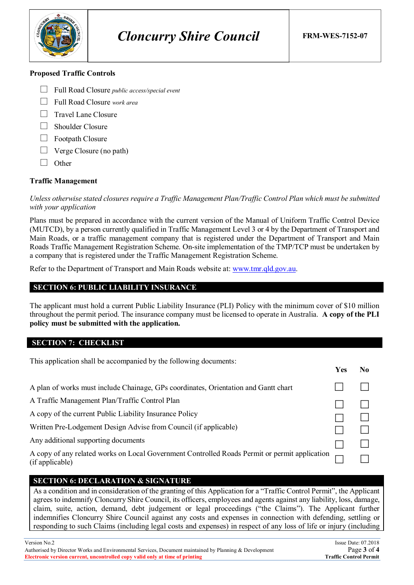

### **Proposed Traffic Controls**

- Full Road Closure *public access/special event*
- Full Road Closure *work area*
- $\Box$  Travel Lane Closure
- □ Shoulder Closure
- $\Box$  Footpath Closure
- $\Box$  Verge Closure (no path)
- $\Box$  Other

## **Traffic Management**

*Unless otherwise stated closures require a Traffic Management Plan/Traffic Control Plan which must be submitted with your application*

Plans must be prepared in accordance with the current version of the Manual of Uniform Traffic Control Device (MUTCD), by a person currently qualified in Traffic Management Level 3 or 4 by the Department of Transport and Main Roads, or a traffic management company that is registered under the Department of Transport and Main Roads Traffic Management Registration Scheme. On-site implementation of the TMP/TCP must be undertaken by a company that is registered under the Traffic Management Registration Scheme.

Refer to the Department of Transport and Main Roads website at: www.tmr.qld.gov.au.

## **SECTION 6: PUBLIC LIABILITY INSURANCE**

The applicant must hold a current Public Liability Insurance (PLI) Policy with the minimum cover of \$10 million throughout the permit period. The insurance company must be licensed to operate in Australia. **A copy of the PLI policy must be submitted with the application.**

## **SECTION 7: CHECKLIST**

This application shall be accompanied by the following documents:

| A copy of any related works on Local Government Controlled Roads Permit or permit application |
|-----------------------------------------------------------------------------------------------|

## **SECTION 6: DECLARATION & SIGNATURE**

As a condition and in consideration of the granting of this Application for a "Traffic Control Permit", the Applicant agrees to indemnify Cloncurry Shire Council, its officers, employees and agents against any liability, loss, damage, claim, suite, action, demand, debt judgement or legal proceedings ("the Claims"). The Applicant further indemnifies Cloncurry Shire Council against any costs and expenses in connection with defending, settling or responding to such Claims (including legal costs and expenses) in respect of any loss of life or injury (including

**Yes No**